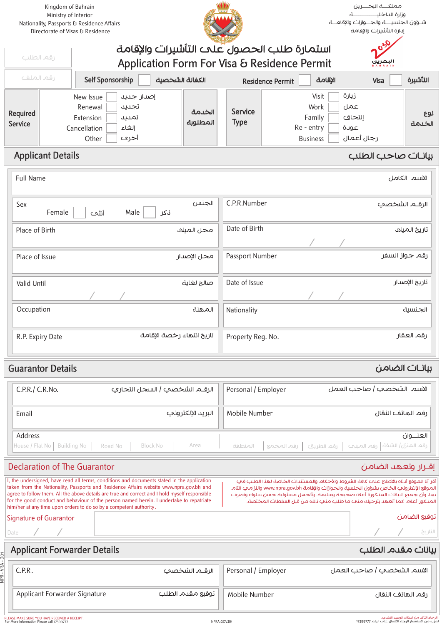Kingdom of Bahrain Ministry of Interior Nationality, Passports & Residence Affairs Directorate of Visas & Residence



مملكـــة البحـــرين وزارة الداخليـــــــــــــة شـؤون الجنسيـــة والجــوازات والإقامــة إدارة التأشريات والإقامة

ر

|                                                  | 030<br>استمارة طلب الحصول علمه التأشيرات والإقامة<br>رقم الطلب<br>Application Form For Visa & Residence Permit<br>ا سصرين<br>سمسسه |                                                                                                             |                                    |                               |                                                          |                                              |                |
|--------------------------------------------------|------------------------------------------------------------------------------------------------------------------------------------|-------------------------------------------------------------------------------------------------------------|------------------------------------|-------------------------------|----------------------------------------------------------|----------------------------------------------|----------------|
| رقم الملف<br>Self Sponsorship<br>الكفالة الشخصية |                                                                                                                                    |                                                                                                             | الإقامة<br><b>Residence Permit</b> | Visa                          | التأشيرة                                                 |                                              |                |
| <b>Required</b><br>Service                       |                                                                                                                                    | New Issue<br>إصدار جىيى<br>Renewal<br>تجديد<br>Extension<br>تمىيى<br>Cancellation<br>إلغاء<br>أخرى<br>Other | الخدمة<br>المطلوبة                 | <b>Service</b><br><b>Type</b> | Visit<br>Work<br>Family<br>Re - entry<br><b>Business</b> | زيارة<br>عمل<br>إلتحاق<br>عوىة<br>رجال أعمال | نوع<br>الخدمة  |
|                                                  | <b>Applicant Details</b>                                                                                                           |                                                                                                             |                                    |                               |                                                          | بيانات صاحب الطلب                            |                |
| <b>Full Name</b>                                 |                                                                                                                                    |                                                                                                             |                                    |                               |                                                          |                                              | الاسم الكامل   |
| Sex                                              | Female                                                                                                                             | Male<br>أنثح                                                                                                | الجنس<br>نکر                       | C.P.R.Number                  |                                                          |                                              | الرقـم الشخصي  |
| Place of Birth                                   |                                                                                                                                    |                                                                                                             | محل المنلان                        | Date of Birth                 |                                                          |                                              | تاريخ الميلاد  |
| Place of Issue                                   |                                                                                                                                    |                                                                                                             | محل الإصدار                        | Passport Number               |                                                          |                                              | رقم جواز السفر |
| Valid Until                                      |                                                                                                                                    |                                                                                                             | صالح لغاية                         | Date of Issue                 |                                                          |                                              | تاريخ الإصدار  |
| Occupation                                       |                                                                                                                                    |                                                                                                             | المهنة                             | Nationality                   |                                                          |                                              | الجنسية        |
|                                                  | R.P. Expiry Date                                                                                                                   |                                                                                                             | تاريخ انتهاء رخصة الإقامة          | Property Reg. No.             |                                                          |                                              | رقم العقار     |

## بيانـات الضامن Details Guarantor

إقـرار وتعهد الضامن

| C.P.R./ C.R.No.                          | الرقــم الشخصي   السجل التجاري |                   | Personal / Employer | الاسم الشخصب   صاحب العمل                                              |
|------------------------------------------|--------------------------------|-------------------|---------------------|------------------------------------------------------------------------|
| Email                                    |                                | البريد الإلكتروني | Mobile Number       | رقم الهاتف النقال                                                      |
| Address<br>House / Flat No   Building No | Block No<br>Road No            | Area              | المنطقة             | العنـــوان<br>رقم المنزل الشقة  رقم المبنب   رقم الطريق   رقم المجمع ' |

| <b>Declaration of The Guarantor</b> |
|-------------------------------------|
|-------------------------------------|

| I, the undersigned, have read all terms, conditions and documents stated in the application<br>taken from the Nationality, Passports and Residence Affairs website www.npra.qov.bh and<br>agree to follow them. All the above details are true and correct and I hold myself responsible<br>for the good conduct and behaviour of the person named herein. I undertake to repatriate<br>him/her at any time upon orders to do so by a competent authority. | أقر أنا الموقع أيناه بالاطلاع علم كافة الشروط والأحكام والمستندات الخاصة لهنا الطلب في<br>الموقع الإلكتروني الخاص بشؤون الجنسية والجوازات والإقامة www.npra.gov.bh والتزامىء التام<br>بها، وأن جميع البيانات المذكورة أعلاه صحيحة وسليمة. وأتحمل مسئولية حسن سلوك وتصرف<br>المنكور أعلاه، كما أتعهد بترحيله متمـــ ما طلب منبـــ نــلك مــن قبل السلطات المختصة. |
|------------------------------------------------------------------------------------------------------------------------------------------------------------------------------------------------------------------------------------------------------------------------------------------------------------------------------------------------------------------------------------------------------------------------------------------------------------|------------------------------------------------------------------------------------------------------------------------------------------------------------------------------------------------------------------------------------------------------------------------------------------------------------------------------------------------------------------|
|                                                                                                                                                                                                                                                                                                                                                                                                                                                            |                                                                                                                                                                                                                                                                                                                                                                  |

| Sianature of Guarantor |  | نوقيع الضامن |
|------------------------|--|--------------|
|------------------------|--|--------------|

التاريخ Date

| $\overline{a}$ Applicant Forwarder Details               |                                        | بيانات مقدم الطلب         |
|----------------------------------------------------------|----------------------------------------|---------------------------|
| $\begin{array}{c} \xi \\ \xi \\ \xi \end{array}$ C.P.R . | الرقــم الشخصمي    Personal / Employer | الاسم الشخصي   صاحب العمل |

| <sup>1</sup> Applicant Forwarder Signature | توقيع مقدم الطلب | Mobile Number | رقم الهاتف النقال |
|--------------------------------------------|------------------|---------------|-------------------|